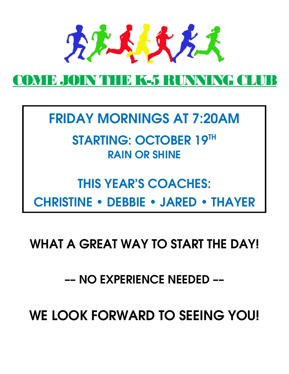

## OME JOIN THE K-5 RUNNING CLU

FRIDAY MORNINGS AT 7:20AM

STARTING: OCTOBER 19TH RAIN OR SHINE

# THIS YEAR'S COACHES: CHRISTINE • DEBBIE • JARED • THAYER

WHAT A GREAT WAY TO START THE DAY!

–– NO EXPERIENCE NEEDED ––

WE LOOK FORWARD TO SEEING YOU!